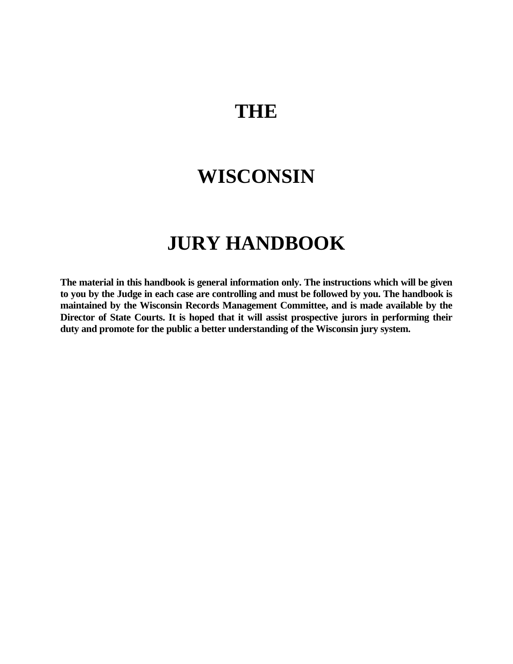# **THE**

# **WISCONSIN**

# **JURY HANDBOOK**

**The material in this handbook is general information only. The instructions which will be given to you by the Judge in each case are controlling and must be followed by you. The handbook is maintained by the Wisconsin Records Management Committee, and is made available by the Director of State Courts. It is hoped that it will assist prospective jurors in performing their duty and promote for the public a better understanding of the Wisconsin jury system.**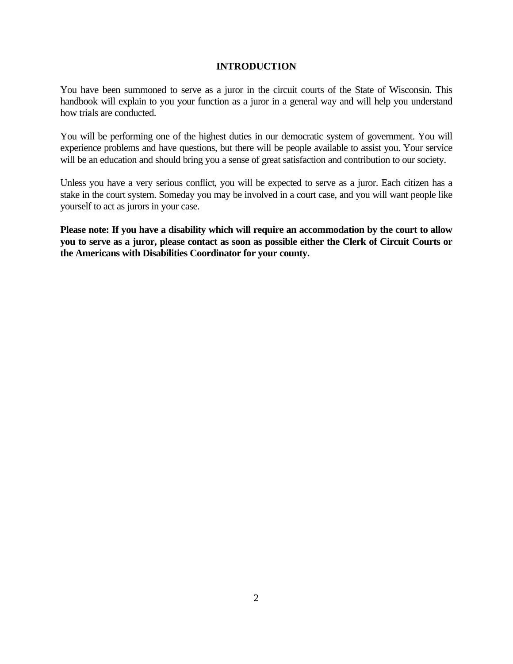## **INTRODUCTION**

You have been summoned to serve as a juror in the circuit courts of the State of Wisconsin. This handbook will explain to you your function as a juror in a general way and will help you understand how trials are conducted.

You will be performing one of the highest duties in our democratic system of government. You will experience problems and have questions, but there will be people available to assist you. Your service will be an education and should bring you a sense of great satisfaction and contribution to our society.

Unless you have a very serious conflict, you will be expected to serve as a juror. Each citizen has a stake in the court system. Someday you may be involved in a court case, and you will want people like yourself to act as jurors in your case.

**Please note: If you have a disability which will require an accommodation by the court to allow you to serve as a juror, please contact as soon as possible either the Clerk of Circuit Courts or the Americans with Disabilities Coordinator for your county.**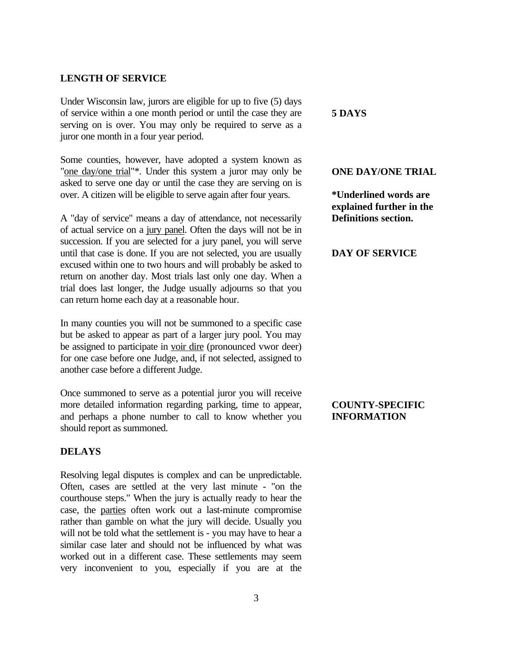#### **LENGTH OF SERVICE**

Under Wisconsin law, jurors are eligible for up to five (5) days of service within a one month period or until the case they are serving on is over. You may only be required to serve as a juror one month in a four year period.

Some counties, however, have adopted a system known as "one day/one trial"\*. Under this system a juror may only be asked to serve one day or until the case they are serving on is over. A citizen will be eligible to serve again after four years.

A "day of service" means a day of attendance, not necessarily of actual service on a jury panel. Often the days will not be in succession. If you are selected for a jury panel, you will serve until that case is done. If you are not selected, you are usually excused within one to two hours and will probably be asked to return on another day. Most trials last only one day. When a trial does last longer, the Judge usually adjourns so that you can return home each day at a reasonable hour.

In many counties you will not be summoned to a specific case but be asked to appear as part of a larger jury pool. You may be assigned to participate in voir dire (pronounced vwor deer) for one case before one Judge, and, if not selected, assigned to another case before a different Judge.

Once summoned to serve as a potential juror you will receive more detailed information regarding parking, time to appear, and perhaps a phone number to call to know whether you should report as summoned.

## **DELAYS**

Resolving legal disputes is complex and can be unpredictable. Often, cases are settled at the very last minute - "on the courthouse steps." When the jury is actually ready to hear the case, the parties often work out a last-minute compromise rather than gamble on what the jury will decide. Usually you will not be told what the settlement is - you may have to hear a similar case later and should not be influenced by what was worked out in a different case. These settlements may seem very inconvenient to you, especially if you are at the

#### **5 DAYS**

#### **ONE DAY/ONE TRIAL**

**\*Underlined words are explained further in the Definitions section.**

### **DAY OF SERVICE**

## **COUNTY-SPECIFIC INFORMATION**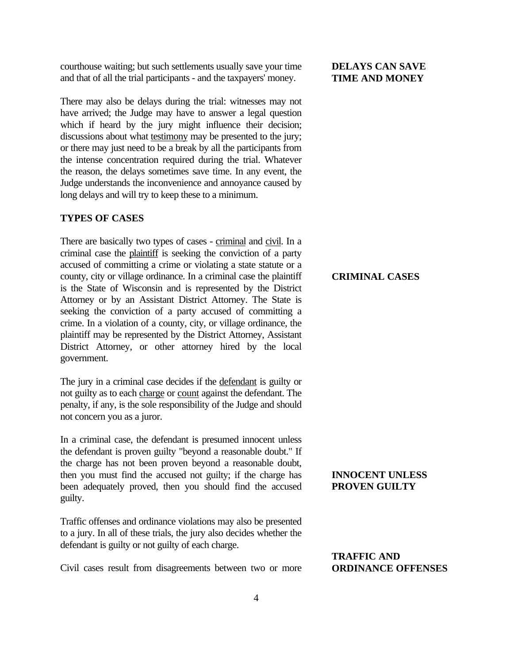courthouse waiting; but such settlements usually save your time and that of all the trial participants - and the taxpayers' money.

There may also be delays during the trial: witnesses may not have arrived; the Judge may have to answer a legal question which if heard by the jury might influence their decision; discussions about what **testimony** may be presented to the jury; or there may just need to be a break by all the participants from the intense concentration required during the trial. Whatever the reason, the delays sometimes save time. In any event, the Judge understands the inconvenience and annoyance caused by long delays and will try to keep these to a minimum.

### **TYPES OF CASES**

There are basically two types of cases - criminal and civil. In a criminal case the plaintiff is seeking the conviction of a party accused of committing a crime or violating a state statute or a county, city or village ordinance. In a criminal case the plaintiff is the State of Wisconsin and is represented by the District Attorney or by an Assistant District Attorney. The State is seeking the conviction of a party accused of committing a crime. In a violation of a county, city, or village ordinance, the plaintiff may be represented by the District Attorney, Assistant District Attorney, or other attorney hired by the local government.

The jury in a criminal case decides if the defendant is guilty or not guilty as to each charge or count against the defendant. The penalty, if any, is the sole responsibility of the Judge and should not concern you as a juror.

In a criminal case, the defendant is presumed innocent unless the defendant is proven guilty "beyond a reasonable doubt." If the charge has not been proven beyond a reasonable doubt, then you must find the accused not guilty; if the charge has been adequately proved, then you should find the accused guilty.

Traffic offenses and ordinance violations may also be presented to a jury. In all of these trials, the jury also decides whether the defendant is guilty or not guilty of each charge.

Civil cases result from disagreements between two or more

## **DELAYS CAN SAVE TIME AND MONEY**

## **CRIMINAL CASES**

## **INNOCENT UNLESS PROVEN GUILTY**

## **TRAFFIC AND ORDINANCE OFFENSES**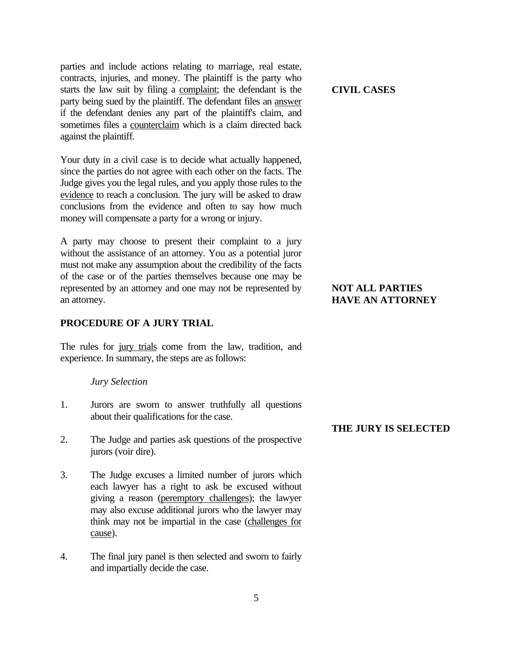parties and include actions relating to marriage, real estate, contracts, injuries, and money. The plaintiff is the party who starts the law suit by filing a complaint; the defendant is the party being sued by the plaintiff. The defendant files an answer if the defendant denies any part of the plaintiff's claim, and sometimes files a counterclaim which is a claim directed back against the plaintiff.

Your duty in a civil case is to decide what actually happened, since the parties do not agree with each other on the facts. The Judge gives you the legal rules, and you apply those rules to the evidence to reach a conclusion. The jury will be asked to draw conclusions from the evidence and often to say how much money will compensate a party for a wrong or injury.

A party may choose to present their complaint to a jury without the assistance of an attorney. You as a potential juror must not make any assumption about the credibility of the facts of the case or of the parties themselves because one may be represented by an attorney and one may not be represented by an attorney.

## **PROCEDURE OF A JURY TRIAL**

The rules for jury trials come from the law, tradition, and experience. In summary, the steps are as follows:

#### *Jury Selection*

- 1. Jurors are sworn to answer truthfully all questions about their qualifications for the case.
- 2. The Judge and parties ask questions of the prospective jurors (voir dire).
- 3. The Judge excuses a limited number of jurors which each lawyer has a right to ask be excused without giving a reason (peremptory challenges); the lawyer may also excuse additional jurors who the lawyer may think may not be impartial in the case (challenges for cause).
- 4. The final jury panel is then selected and sworn to fairly and impartially decide the case.

## **CIVIL CASES**

## **NOT ALL PARTIES HAVE AN ATTORNEY**

#### **THE JURY IS SELECTED**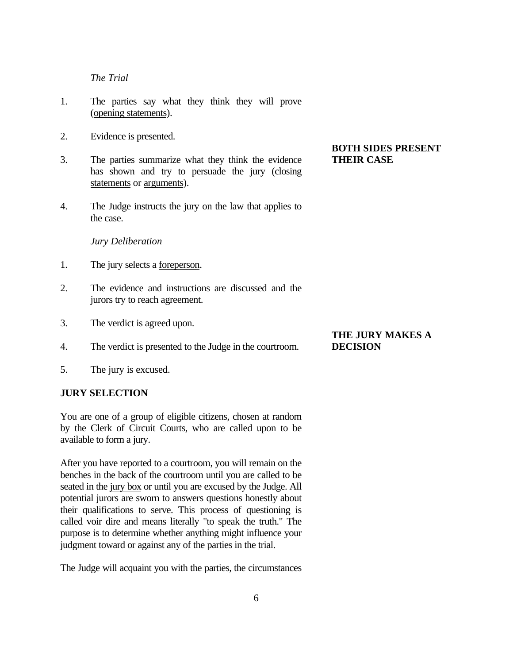## *The Trial*

- 1. The parties say what they think they will prove (opening statements).
- 2. Evidence is presented.
- 3. The parties summarize what they think the evidence has shown and try to persuade the jury (closing statements or arguments).
- 4. The Judge instructs the jury on the law that applies to the case.

#### *Jury Deliberation*

- 1. The jury selects a foreperson.
- 2. The evidence and instructions are discussed and the jurors try to reach agreement.
- 3. The verdict is agreed upon.
- 4. The verdict is presented to the Judge in the courtroom.
- 5. The jury is excused.

## **JURY SELECTION**

You are one of a group of eligible citizens, chosen at random by the Clerk of Circuit Courts, who are called upon to be available to form a jury.

After you have reported to a courtroom, you will remain on the benches in the back of the courtroom until you are called to be seated in the jury box or until you are excused by the Judge. All potential jurors are sworn to answers questions honestly about their qualifications to serve. This process of questioning is called voir dire and means literally "to speak the truth." The purpose is to determine whether anything might influence your judgment toward or against any of the parties in the trial.

The Judge will acquaint you with the parties, the circumstances

## **BOTH SIDES PRESENT THEIR CASE**

## **THE JURY MAKES A DECISION**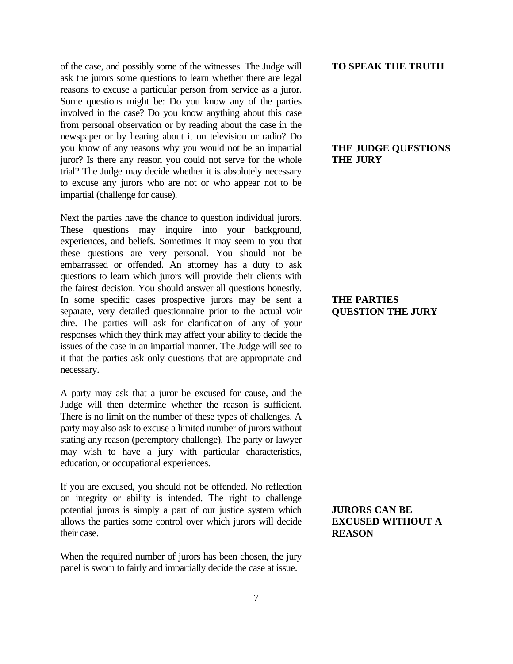of the case, and possibly some of the witnesses. The Judge will ask the jurors some questions to learn whether there are legal reasons to excuse a particular person from service as a juror. Some questions might be: Do you know any of the parties involved in the case? Do you know anything about this case from personal observation or by reading about the case in the newspaper or by hearing about it on television or radio? Do you know of any reasons why you would not be an impartial juror? Is there any reason you could not serve for the whole trial? The Judge may decide whether it is absolutely necessary to excuse any jurors who are not or who appear not to be impartial (challenge for cause).

Next the parties have the chance to question individual jurors. These questions may inquire into your background, experiences, and beliefs. Sometimes it may seem to you that these questions are very personal. You should not be embarrassed or offended. An attorney has a duty to ask questions to learn which jurors will provide their clients with the fairest decision. You should answer all questions honestly. In some specific cases prospective jurors may be sent a separate, very detailed questionnaire prior to the actual voir dire. The parties will ask for clarification of any of your responses which they think may affect your ability to decide the issues of the case in an impartial manner. The Judge will see to it that the parties ask only questions that are appropriate and necessary.

A party may ask that a juror be excused for cause, and the Judge will then determine whether the reason is sufficient. There is no limit on the number of these types of challenges. A party may also ask to excuse a limited number of jurors without stating any reason (peremptory challenge). The party or lawyer may wish to have a jury with particular characteristics, education, or occupational experiences.

If you are excused, you should not be offended. No reflection on integrity or ability is intended. The right to challenge potential jurors is simply a part of our justice system which allows the parties some control over which jurors will decide their case.

When the required number of jurors has been chosen, the jury panel is sworn to fairly and impartially decide the case at issue.

#### **TO SPEAK THE TRUTH**

## **THE JUDGE QUESTIONS THE JURY**

## **THE PARTIES QUESTION THE JURY**

## **JURORS CAN BE EXCUSED WITHOUT A REASON**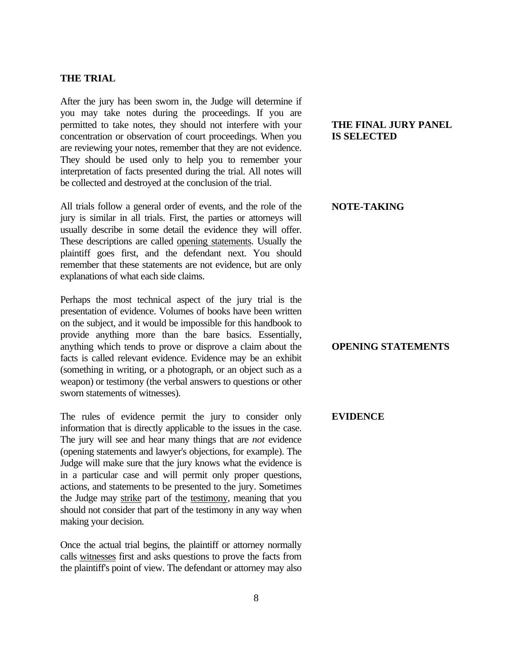## **THE TRIAL**

After the jury has been sworn in, the Judge will determine if you may take notes during the proceedings. If you are permitted to take notes, they should not interfere with your concentration or observation of court proceedings. When you are reviewing your notes, remember that they are not evidence. They should be used only to help you to remember your interpretation of facts presented during the trial. All notes will be collected and destroyed at the conclusion of the trial.

All trials follow a general order of events, and the role of the jury is similar in all trials. First, the parties or attorneys will usually describe in some detail the evidence they will offer. These descriptions are called opening statements. Usually the plaintiff goes first, and the defendant next. You should remember that these statements are not evidence, but are only explanations of what each side claims.

Perhaps the most technical aspect of the jury trial is the presentation of evidence. Volumes of books have been written on the subject, and it would be impossible for this handbook to provide anything more than the bare basics. Essentially, anything which tends to prove or disprove a claim about the facts is called relevant evidence. Evidence may be an exhibit (something in writing, or a photograph, or an object such as a weapon) or testimony (the verbal answers to questions or other sworn statements of witnesses).

The rules of evidence permit the jury to consider only information that is directly applicable to the issues in the case. The jury will see and hear many things that are *not* evidence (opening statements and lawyer's objections, for example). The Judge will make sure that the jury knows what the evidence is in a particular case and will permit only proper questions, actions, and statements to be presented to the jury. Sometimes the Judge may strike part of the testimony, meaning that you should not consider that part of the testimony in any way when making your decision.

Once the actual trial begins, the plaintiff or attorney normally calls witnesses first and asks questions to prove the facts from the plaintiff's point of view. The defendant or attorney may also

## **THE FINAL JURY PANEL IS SELECTED**

#### **NOTE-TAKING**

## **OPENING STATEMENTS**

#### **EVIDENCE**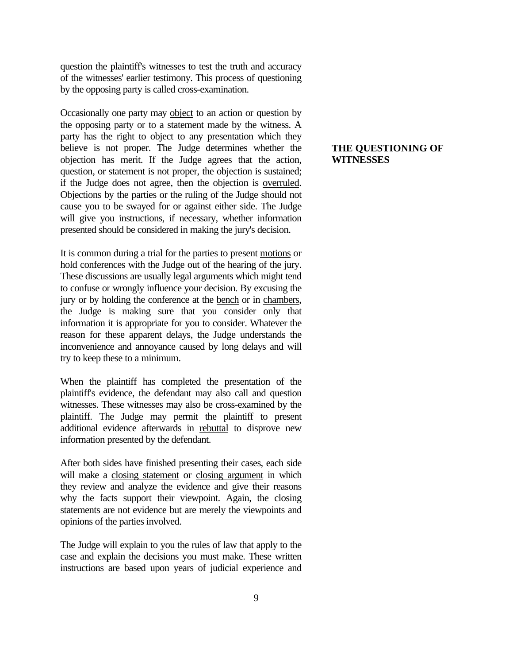question the plaintiff's witnesses to test the truth and accuracy of the witnesses' earlier testimony. This process of questioning by the opposing party is called cross-examination.

Occasionally one party may object to an action or question by the opposing party or to a statement made by the witness. A party has the right to object to any presentation which they believe is not proper. The Judge determines whether the objection has merit. If the Judge agrees that the action, question, or statement is not proper, the objection is sustained; if the Judge does not agree, then the objection is overruled. Objections by the parties or the ruling of the Judge should not cause you to be swayed for or against either side. The Judge will give you instructions, if necessary, whether information presented should be considered in making the jury's decision.

It is common during a trial for the parties to present motions or hold conferences with the Judge out of the hearing of the jury. These discussions are usually legal arguments which might tend to confuse or wrongly influence your decision. By excusing the jury or by holding the conference at the bench or in chambers, the Judge is making sure that you consider only that information it is appropriate for you to consider. Whatever the reason for these apparent delays, the Judge understands the inconvenience and annoyance caused by long delays and will try to keep these to a minimum.

When the plaintiff has completed the presentation of the plaintiff's evidence, the defendant may also call and question witnesses. These witnesses may also be cross-examined by the plaintiff. The Judge may permit the plaintiff to present additional evidence afterwards in rebuttal to disprove new information presented by the defendant.

After both sides have finished presenting their cases, each side will make a closing statement or closing argument in which they review and analyze the evidence and give their reasons why the facts support their viewpoint. Again, the closing statements are not evidence but are merely the viewpoints and opinions of the parties involved.

The Judge will explain to you the rules of law that apply to the case and explain the decisions you must make. These written instructions are based upon years of judicial experience and

## **THE QUESTIONING OF WITNESSES**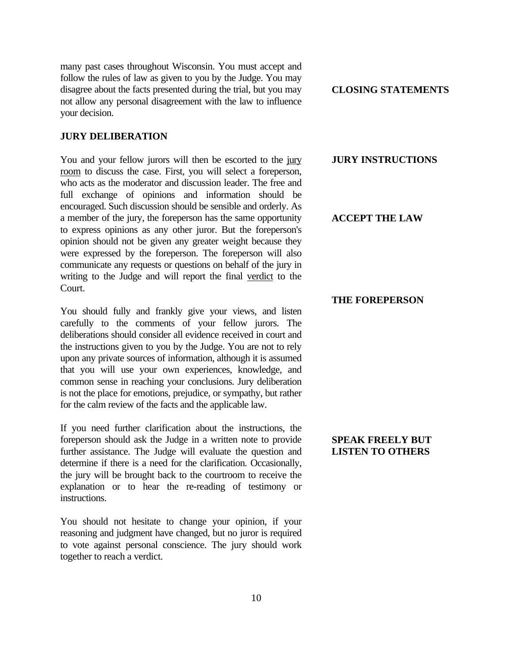many past cases throughout Wisconsin. You must accept and follow the rules of law as given to you by the Judge. You may disagree about the facts presented during the trial, but you may not allow any personal disagreement with the law to influence your decision.

#### **JURY DELIBERATION**

You and your fellow jurors will then be escorted to the jury room to discuss the case. First, you will select a foreperson, who acts as the moderator and discussion leader. The free and full exchange of opinions and information should be encouraged. Such discussion should be sensible and orderly. As a member of the jury, the foreperson has the same opportunity to express opinions as any other juror. But the foreperson's opinion should not be given any greater weight because they were expressed by the foreperson. The foreperson will also communicate any requests or questions on behalf of the jury in writing to the Judge and will report the final verdict to the Court.

You should fully and frankly give your views, and listen carefully to the comments of your fellow jurors. The deliberations should consider all evidence received in court and the instructions given to you by the Judge. You are not to rely upon any private sources of information, although it is assumed that you will use your own experiences, knowledge, and common sense in reaching your conclusions. Jury deliberation is not the place for emotions, prejudice, or sympathy, but rather for the calm review of the facts and the applicable law.

If you need further clarification about the instructions, the foreperson should ask the Judge in a written note to provide further assistance. The Judge will evaluate the question and determine if there is a need for the clarification. Occasionally, the jury will be brought back to the courtroom to receive the explanation or to hear the re-reading of testimony or instructions.

You should not hesitate to change your opinion, if your reasoning and judgment have changed, but no juror is required to vote against personal conscience. The jury should work together to reach a verdict.

**CLOSING STATEMENTS**

#### **JURY INSTRUCTIONS**

## **ACCEPT THE LAW**

#### **THE FOREPERSON**

## **SPEAK FREELY BUT LISTEN TO OTHERS**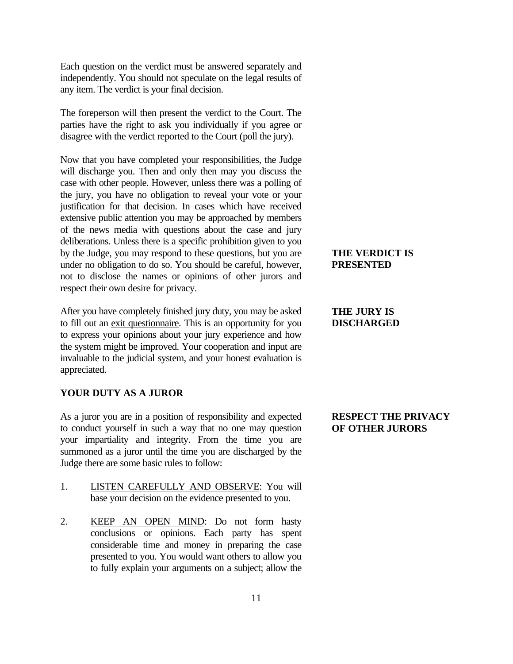Each question on the verdict must be answered separately and independently. You should not speculate on the legal results of any item. The verdict is your final decision.

The foreperson will then present the verdict to the Court. The parties have the right to ask you individually if you agree or disagree with the verdict reported to the Court (poll the jury).

Now that you have completed your responsibilities, the Judge will discharge you. Then and only then may you discuss the case with other people. However, unless there was a polling of the jury, you have no obligation to reveal your vote or your justification for that decision. In cases which have received extensive public attention you may be approached by members of the news media with questions about the case and jury deliberations. Unless there is a specific prohibition given to you by the Judge, you may respond to these questions, but you are under no obligation to do so. You should be careful, however, not to disclose the names or opinions of other jurors and respect their own desire for privacy.

After you have completely finished jury duty, you may be asked to fill out an exit questionnaire. This is an opportunity for you to express your opinions about your jury experience and how the system might be improved. Your cooperation and input are invaluable to the judicial system, and your honest evaluation is appreciated.

## **YOUR DUTY AS A JUROR**

As a juror you are in a position of responsibility and expected to conduct yourself in such a way that no one may question your impartiality and integrity. From the time you are summoned as a juror until the time you are discharged by the Judge there are some basic rules to follow:

- 1. LISTEN CAREFULLY AND OBSERVE: You will base your decision on the evidence presented to you.
- 2. KEEP AN OPEN MIND: Do not form hasty conclusions or opinions. Each party has spent considerable time and money in preparing the case presented to you. You would want others to allow you to fully explain your arguments on a subject; allow the

## **THE VERDICT IS PRESENTED**

## **THE JURY IS DISCHARGED**

## **RESPECT THE PRIVACY OF OTHER JURORS**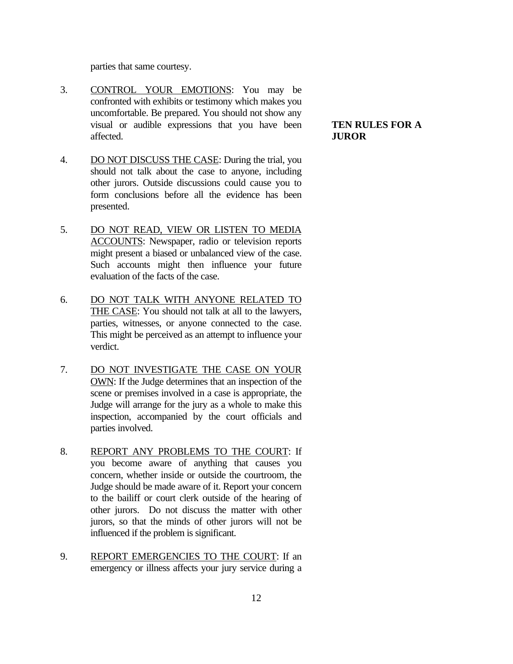parties that same courtesy.

- 3. CONTROL YOUR EMOTIONS: You may be confronted with exhibits or testimony which makes you uncomfortable. Be prepared. You should not show any visual or audible expressions that you have been affected.
- 4. DO NOT DISCUSS THE CASE: During the trial, you should not talk about the case to anyone, including other jurors. Outside discussions could cause you to form conclusions before all the evidence has been presented.
- 5. DO NOT READ, VIEW OR LISTEN TO MEDIA ACCOUNTS: Newspaper, radio or television reports might present a biased or unbalanced view of the case. Such accounts might then influence your future evaluation of the facts of the case.
- 6. DO NOT TALK WITH ANYONE RELATED TO THE CASE: You should not talk at all to the lawyers, parties, witnesses, or anyone connected to the case. This might be perceived as an attempt to influence your verdict.
- 7. DO NOT INVESTIGATE THE CASE ON YOUR OWN: If the Judge determines that an inspection of the scene or premises involved in a case is appropriate, the Judge will arrange for the jury as a whole to make this inspection, accompanied by the court officials and parties involved.
- 8. REPORT ANY PROBLEMS TO THE COURT: If you become aware of anything that causes you concern, whether inside or outside the courtroom, the Judge should be made aware of it. Report your concern to the bailiff or court clerk outside of the hearing of other jurors. Do not discuss the matter with other jurors, so that the minds of other jurors will not be influenced if the problem is significant.
- 9. REPORT EMERGENCIES TO THE COURT: If an emergency or illness affects your jury service during a

## **TEN RULES FOR A JUROR**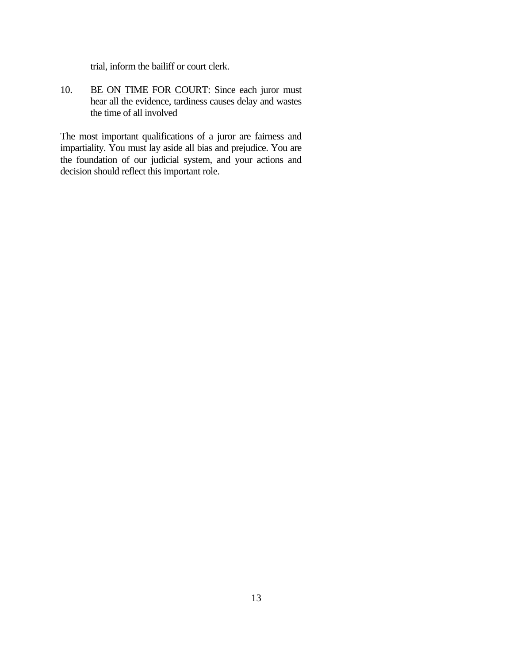trial, inform the bailiff or court clerk.

10. BE ON TIME FOR COURT: Since each juror must hear all the evidence, tardiness causes delay and wastes the time of all involved

The most important qualifications of a juror are fairness and impartiality. You must lay aside all bias and prejudice. You are the foundation of our judicial system, and your actions and decision should reflect this important role.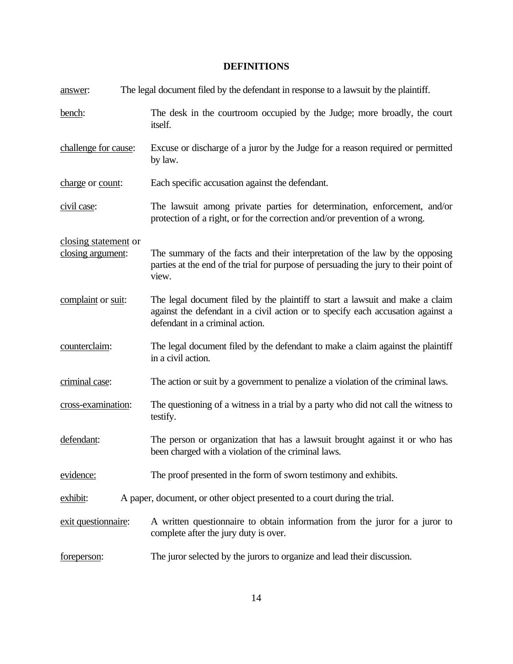## **DEFINITIONS**

| answer:              | The legal document filed by the defendant in response to a lawsuit by the plaintiff.                                                                                                                |
|----------------------|-----------------------------------------------------------------------------------------------------------------------------------------------------------------------------------------------------|
| bench:               | The desk in the courtroom occupied by the Judge; more broadly, the court<br>itself.                                                                                                                 |
| challenge for cause: | Excuse or discharge of a juror by the Judge for a reason required or permitted<br>by law.                                                                                                           |
| charge or count:     | Each specific accusation against the defendant.                                                                                                                                                     |
| civil case:          | The lawsuit among private parties for determination, enforcement, and/or<br>protection of a right, or for the correction and/or prevention of a wrong.                                              |
| closing statement or |                                                                                                                                                                                                     |
| closing argument:    | The summary of the facts and their interpretation of the law by the opposing<br>parties at the end of the trial for purpose of persuading the jury to their point of<br>view.                       |
| complaint or suit:   | The legal document filed by the plaintiff to start a lawsuit and make a claim<br>against the defendant in a civil action or to specify each accusation against a<br>defendant in a criminal action. |
| counterclaim:        | The legal document filed by the defendant to make a claim against the plaintiff<br>in a civil action.                                                                                               |
| criminal case:       | The action or suit by a government to penalize a violation of the criminal laws.                                                                                                                    |
| cross-examination:   | The questioning of a witness in a trial by a party who did not call the witness to<br>testify.                                                                                                      |
| defendant:           | The person or organization that has a lawsuit brought against it or who has<br>been charged with a violation of the criminal laws.                                                                  |
| evidence:            | The proof presented in the form of sworn testimony and exhibits.                                                                                                                                    |
| exhibit:             | A paper, document, or other object presented to a court during the trial.                                                                                                                           |
| exit questionnaire:  | A written questionnaire to obtain information from the juror for a juror to<br>complete after the jury duty is over.                                                                                |
| foreperson:          | The juror selected by the jurors to organize and lead their discussion.                                                                                                                             |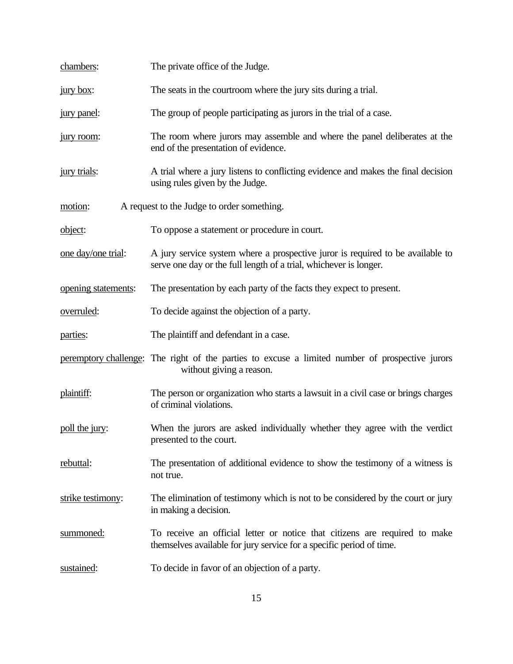| chambers:                                             | The private office of the Judge.                                                                                                                    |  |
|-------------------------------------------------------|-----------------------------------------------------------------------------------------------------------------------------------------------------|--|
| <u>jury box:</u>                                      | The seats in the courtroom where the jury sits during a trial.                                                                                      |  |
| jury panel:                                           | The group of people participating as jurors in the trial of a case.                                                                                 |  |
| jury room:                                            | The room where jurors may assemble and where the panel deliberates at the<br>end of the presentation of evidence.                                   |  |
| jury trials:                                          | A trial where a jury listens to conflicting evidence and makes the final decision<br>using rules given by the Judge.                                |  |
| A request to the Judge to order something.<br>motion: |                                                                                                                                                     |  |
| object:                                               | To oppose a statement or procedure in court.                                                                                                        |  |
| one day/one trial:                                    | A jury service system where a prospective juror is required to be available to<br>serve one day or the full length of a trial, whichever is longer. |  |
| opening statements:                                   | The presentation by each party of the facts they expect to present.                                                                                 |  |
| overruled:                                            | To decide against the objection of a party.                                                                                                         |  |
| parties:                                              | The plaintiff and defendant in a case.                                                                                                              |  |
|                                                       | peremptory challenge: The right of the parties to excuse a limited number of prospective jurors<br>without giving a reason.                         |  |
| plaintiff:                                            | The person or organization who starts a lawsuit in a civil case or brings charges<br>of criminal violations.                                        |  |
| poll the jury:                                        | When the jurors are asked individually whether they agree with the verdict<br>presented to the court.                                               |  |
| rebuttal:                                             | The presentation of additional evidence to show the testimony of a witness is<br>not true.                                                          |  |
| strike testimony:                                     | The elimination of testimony which is not to be considered by the court or jury<br>in making a decision.                                            |  |
| summoned:                                             | To receive an official letter or notice that citizens are required to make<br>themselves available for jury service for a specific period of time.  |  |
| sustained:                                            | To decide in favor of an objection of a party.                                                                                                      |  |